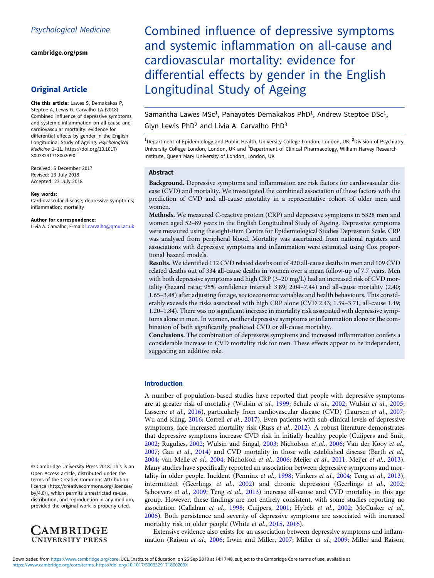[cambridge.org/psm](https://www.cambridge.org/psm)

# Original Article

Cite this article: Lawes S, Demakakos P, Steptoe A, Lewis G, Carvalho LA (2018). Combined influence of depressive symptoms and systemic inflammation on all-cause and cardiovascular mortality: evidence for differential effects by gender in the English Longitudinal Study of Ageing. Psychological Medicine 1–11. [https://doi.org/10.1017/](https://doi.org/10.1017/S003329171800209X) [S003329171800209X](https://doi.org/10.1017/S003329171800209X)

Received: 5 December 2017 Revised: 13 July 2018 Accepted: 23 July 2018

#### Key words:

Cardiovascular disease; depressive symptoms; inflammation; mortality

#### Author for correspondence:

Livia A. Carvalho, E-mail: *[l.carvalho@qmul.ac.uk](mailto:l.carvalho@qmul.ac.uk)* 

© Cambridge University Press 2018. This is an Open Access article, distributed under the terms of the Creative Commons Attribution licence (http://creativecommons.org/licenses/ by/4.0/), which permits unrestricted re-use, distribution, and reproduction in any medium, provided the original work is properly cited.



Combined influence of depressive symptoms and systemic inflammation on all-cause and cardiovascular mortality: evidence for differential effects by gender in the English Longitudinal Study of Ageing

Samantha Lawes MSc<sup>1</sup>, Panayotes Demakakos PhD<sup>1</sup>, Andrew Steptoe DSc<sup>1</sup>,

Glyn Lewis PhD<sup>2</sup> and Livia A. Carvalho PhD $3$ 

<sup>1</sup>Department of Epidemiology and Public Health, University College London, London, UK; <sup>2</sup>Division of Psychiatry, University College London, London, UK and <sup>3</sup>Department of Clinical Pharmacology, William Harvey Research Institute, Queen Mary University of London, London, UK

#### Abstract

Background. Depressive symptoms and inflammation are risk factors for cardiovascular disease (CVD) and mortality. We investigated the combined association of these factors with the prediction of CVD and all-cause mortality in a representative cohort of older men and women.

Methods. We measured C-reactive protein (CRP) and depressive symptoms in 5328 men and women aged 52–89 years in the English Longitudinal Study of Ageing. Depressive symptoms were measured using the eight-item Centre for Epidemiological Studies Depression Scale. CRP was analysed from peripheral blood. Mortality was ascertained from national registers and associations with depressive symptoms and inflammation were estimated using Cox proportional hazard models.

Results. We identified 112 CVD related deaths out of 420 all-cause deaths in men and 109 CVD related deaths out of 334 all-cause deaths in women over a mean follow-up of 7.7 years. Men with both depressive symptoms and high CRP (3–20 mg/L) had an increased risk of CVD mortality (hazard ratio; 95% confidence interval: 3.89; 2.04–7.44) and all-cause mortality (2.40; 1.65–3.48) after adjusting for age, socioeconomic variables and health behaviours. This considerably exceeds the risks associated with high CRP alone (CVD 2.43; 1.59–3.71, all-cause 1.49; 1.20–1.84). There was no significant increase in mortality risk associated with depressive symptoms alone in men. In women, neither depressive symptoms or inflammation alone or the combination of both significantly predicted CVD or all-cause mortality.

Conclusions. The combination of depressive symptoms and increased inflammation confers a considerable increase in CVD mortality risk for men. These effects appear to be independent, suggesting an additive role.

## Introduction

A number of population-based studies have reported that people with depressive symptoms are at greater risk of mortality (Wulsin et al., [1999](#page-10-0); Schulz et al., [2002;](#page-9-0) Wulsin et al., [2005](#page-10-0); Lasserre et al., [2016](#page-8-0)), particularly from cardiovascular disease (CVD) (Laursen et al., [2007](#page-8-0); Wu and Kling, [2016](#page-10-0); Correll *et al.*, [2017\)](#page-7-0). Even patients with sub-clinical levels of depressive symptoms, face increased mortality risk (Russ et al.,  $2012$ ). A robust literature demonstrates that depressive symptoms increase CVD risk in initially healthy people (Cuijpers and Smit, [2002;](#page-7-0) Rugulies, [2002](#page-9-0); Wulsin and Singal, [2003](#page-10-0); Nicholson et al., [2006](#page-9-0); Van der Kooy et al., [2007;](#page-10-0) Gan et al., [2014](#page-8-0)) and CVD mortality in those with established disease (Barth et al., [2004;](#page-7-0) van Melle et al., [2004;](#page-10-0) Nicholson et al., [2006;](#page-9-0) Meijer et al., [2011;](#page-9-0) Meijer et al., [2013](#page-9-0)). Many studies have specifically reported an association between depressive symptoms and mor-tality in older people. Incident (Penninx et al., [1998](#page-9-0); Vinkers et al., [2004](#page-10-0); Teng et al., [2013](#page-9-0)), intermittent (Geerlings et al., [2002\)](#page-8-0) and chronic depression (Geerlings et al., [2002](#page-8-0); Schoevers et al., [2009](#page-9-0); Teng et al., [2013](#page-9-0)) increase all-cause and CVD mortality in this age group. However, these findings are not entirely consistent, with some studies reporting no association (Callahan et al., [1998](#page-7-0); Cuijpers, [2001](#page-7-0); Hybels et al., [2002;](#page-8-0) McCusker et al., [2006\)](#page-9-0). Both persistence and severity of depressive symptoms are associated with increased mortality risk in older people (White et al., [2015,](#page-10-0) [2016](#page-10-0)).

Extensive evidence also exists for an association between depressive symptoms and inflammation (Raison et al., [2006;](#page-9-0) Irwin and Miller, [2007](#page-8-0); Miller et al., [2009](#page-9-0); Miller and Raison,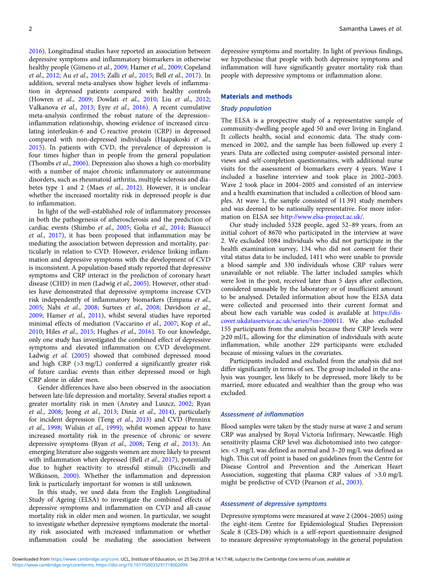[2016\)](#page-9-0). Longitudinal studies have reported an association between depressive symptoms and inflammatory biomarkers in otherwise healthy people (Gimeno et al., [2009](#page-8-0); Hamer et al., [2009](#page-8-0); Copeland et al., [2012](#page-7-0); Au et al., [2015](#page-7-0); Zalli et al., [2015;](#page-10-0) Bell et al., [2017\)](#page-7-0). In addition, several meta-analyses show higher levels of inflammation in depressed patients compared with healthy controls (Howren et al., [2009;](#page-8-0) Dowlati et al., [2010;](#page-8-0) Liu et al., [2012](#page-8-0); Valkanova et al., [2013](#page-9-0); Eyre et al., [2016](#page-8-0)). A recent cumulative meta-analysis confirmed the robust nature of the depression– inflammation relationship, showing evidence of increased circulating interleukin-6 and C-reactive protein (CRP) in depressed compared with non-depressed individuals (Haapakoski et al., [2015\)](#page-8-0). In patients with CVD, the prevalence of depression is four times higher than in people from the general population (Thombs et al., [2006\)](#page-9-0). Depression also shows a high co-morbidity with a number of major chronic inflammatory or autoimmune disorders, such as rheumatoid arthritis, multiple sclerosis and dia-betes type 1 and 2 (Maes et al., [2012\)](#page-9-0). However, it is unclear whether the increased mortality risk in depressed people is due to inflammation.

In light of the well-established role of inflammatory processes in both the pathogenesis of atherosclerosis and the prediction of cardiac events (Shimbo et al., [2005](#page-9-0); Golia et al., [2014](#page-8-0); Biasucci et al., [2017\)](#page-7-0), it has been proposed that inflammation may be mediating the association between depression and mortality, particularly in relation to CVD. However, evidence linking inflammation and depressive symptoms with the development of CVD is inconsistent. A population-based study reported that depressive symptoms and CRP interact in the prediction of coronary heart disease (CHD) in men (Ladwig et al., [2005](#page-8-0)). However, other studies have demonstrated that depressive symptoms increase CVD risk independently of inflammatory biomarkers (Empana et al., [2005;](#page-8-0) Nabi et al., [2008;](#page-9-0) Surtees et al., [2008;](#page-9-0) Davidson et al., [2009;](#page-7-0) Hamer et al., [2011](#page-8-0)), whilst several studies have reported minimal effects of mediation (Vaccarino et al., [2007;](#page-9-0) Kop et al., [2010;](#page-8-0) Hiles et al., [2015](#page-8-0); Hughes et al., [2016](#page-8-0)). To our knowledge, only one study has investigated the combined effect of depressive symptoms and elevated inflammation on CVD development. Ladwig et al. ([2005\)](#page-8-0) showed that combined depressed mood and high CRP (>3 mg/L) conferred a significantly greater risk of future cardiac events than either depressed mood or high CRP alone in older men.

Gender differences have also been observed in the association between late-life depression and mortality. Several studies report a greater mortality risk in men (Anstey and Luszcz, [2002](#page-7-0); Ryan et al., [2008](#page-9-0); Jeong et al., [2013](#page-8-0); Diniz et al., [2014\)](#page-7-0), particularly for incident depression (Teng et al., [2013\)](#page-9-0) and CVD (Penninx et al., [1998](#page-9-0); Wulsin et al., [1999\)](#page-10-0); whilst women appear to have increased mortality risk in the presence of chronic or severe depressive symptoms (Ryan et al., [2008;](#page-9-0) Teng et al., [2013](#page-9-0)). An emerging literature also suggests women are more likely to present with inflammation when depressed (Bell et al., [2017](#page-7-0)), potentially due to higher reactivity to stressful stimuli (Piccinelli and Wilkinson, [2000\)](#page-9-0). Whether the inflammation and depression link is particularly important for women is still unknown.

In this study, we used data from the English Longitudinal Study of Ageing (ELSA) to investigate the combined effects of depressive symptoms and inflammation on CVD and all-cause mortality risk in older men and women. In particular, we sought to investigate whether depressive symptoms moderate the mortality risk associated with increased inflammation or whether inflammation could be mediating the association between

depressive symptoms and mortality. In light of previous findings, we hypothesise that people with both depressive symptoms and inflammation will have significantly greater mortality risk than people with depressive symptoms or inflammation alone.

#### Materials and methods

#### Study population

The ELSA is a prospective study of a representative sample of community-dwelling people aged 50 and over living in England. It collects health, social and economic data. The study commenced in 2002, and the sample has been followed up every 2 years. Data are collected using computer-assisted personal interviews and self-completion questionnaires, with additional nurse visits for the assessment of biomarkers every 4 years. Wave 1 included a baseline interview and took place in 2002–2003. Wave 2 took place in 2004–2005 and consisted of an interview and a health examination that included a collection of blood samples. At wave 1, the sample consisted of 11 391 study members and was deemed to be nationally representative. For more information on ELSA see <http://www.elsa-project.ac.uk/>.

Our study included 5328 people, aged 52–89 years, from an initial cohort of 8670 who participated in the interview at wave 2. We excluded 1084 individuals who did not participate in the health examination survey, 134 who did not consent for their vital status data to be included, 1411 who were unable to provide a blood sample and 330 individuals whose CRP values were unavailable or not reliable. The latter included samples which were lost in the post, received later than 5 days after collection, considered unusable by the laboratory or of insufficient amount to be analysed. Detailed information about how the ELSA data were collected and processed into their current format and about how each variable was coded is available at [https://dis](https://discover.ukdataservice.ac.uk/series/?sn=200011)[cover.ukdataservice.ac.uk/series/?sn=200011](https://discover.ukdataservice.ac.uk/series/?sn=200011). We also excluded 155 participants from the analysis because their CRP levels were ⩾20 ml/L, allowing for the elimination of individuals with acute inflammation, while another 229 participants were excluded because of missing values in the covariates.

Participants included and excluded from the analysis did not differ significantly in terms of sex. The group included in the analysis was younger, less likely to be depressed, more likely to be married, more educated and wealthier than the group who was excluded.

#### Assessment of inflammation

Blood samples were taken by the study nurse at wave 2 and serum CRP was analysed by Royal Victoria Infirmary, Newcastle. High sensitivity plasma CRP level was dichotomised into two categories: <3 mg/L was defined as normal and 3–20 mg/L was defined as high. This cut off point is based on guidelines from the Centre for Disease Control and Prevention and the American Heart Association, suggesting that plasma CRP values of >3.0 mg/L might be predictive of CVD (Pearson et al., [2003\)](#page-9-0).

### Assessment of depressive symptoms

Depressive symptoms were measured at wave 2 (2004–2005) using the eight-item Centre for Epidemiological Studies Depression Scale 8 (CES-D8) which is a self-report questionnaire designed to measure depressive symptomatology in the general population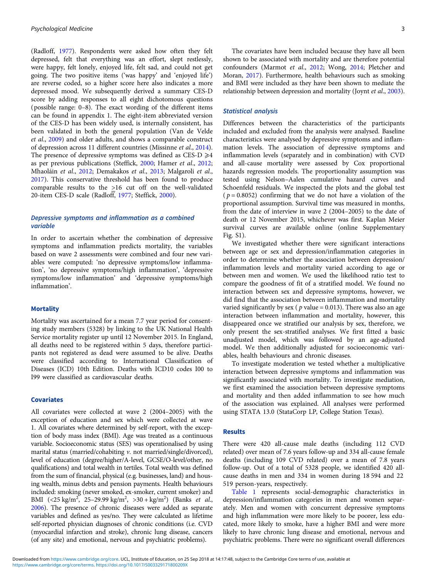(Radloff, [1977](#page-9-0)). Respondents were asked how often they felt depressed, felt that everything was an effort, slept restlessly, were happy, felt lonely, enjoyed life, felt sad, and could not get going. The two positive items ('was happy' and 'enjoyed life') are reverse coded, so a higher score here also indicates a more depressed mood. We subsequently derived a summary CES-D score by adding responses to all eight dichotomous questions (possible range: 0–8). The exact wording of the different items can be found in appendix 1. The eight-item abbreviated version of the CES-D has been widely used, is internally consistent, has been validated in both the general population (Van de Velde et al., [2009\)](#page-10-0) and older adults, and shows a comparable construct of depression across 11 different countries (Missinne et al., [2014\)](#page-9-0). The presence of depressive symptoms was defined as CES-D  $\geq 4$ as per previous publications (Steffick, [2000;](#page-9-0) Hamer et al., [2012;](#page-8-0) Mhaoláin et al., [2012;](#page-9-0) Demakakos et al., [2013](#page-7-0); Malgaroli et al., [2017\)](#page-9-0). This conservative threshold has been found to produce comparable results to the >16 cut off on the well-validated 20-item CES-D scale (Radloff, [1977](#page-9-0); Steffick, [2000\)](#page-9-0).

### Depressive symptoms and inflammation as a combined variable

In order to ascertain whether the combination of depressive symptoms and inflammation predicts mortality, the variables based on wave 2 assessments were combined and four new variables were computed: 'no depressive symptoms/low inflammation', 'no depressive symptoms/high inflammation', 'depressive symptoms/low inflammation' and 'depressive symptoms/high inflammation'.

#### **Mortality**

Mortality was ascertained for a mean 7.7 year period for consenting study members (5328) by linking to the UK National Health Service mortality register up until 12 November 2015. In England, all deaths need to be registered within 5 days, therefore participants not registered as dead were assumed to be alive. Deaths were classified according to International Classification of Diseases (ICD) 10th Edition. Deaths with ICD10 codes I00 to I99 were classified as cardiovascular deaths.

#### **Covariates**

All covariates were collected at wave 2 (2004–2005) with the exception of education and sex which were collected at wave 1. All covariates where determined by self-report, with the exception of body mass index (BMI). Age was treated as a continuous variable. Socioeconomic status (SES) was operationalised by using marital status (married/cohabiting v. not married/single/divorced), level of education (degree/higher/A-level, GCSE/O-level/other, no qualifications) and total wealth in tertiles. Total wealth was defined from the sum of financial, physical (e.g. businesses, land) and housing wealth, minus debts and pension payments. Health behaviours included: smoking (never smoked, ex-smoker, current smoker) and BMI  $(\langle 25 \text{ kg/m}^2, 25-29.99 \text{ kg/m}^2, 530 + \text{ kg/m}^2)$  (Banks *et al.*, [2006](#page-7-0)). The presence of chronic diseases were added as separate variables and defined as yes/no. They were calculated as lifetime self-reported physician diagnoses of chronic conditions (i.e. CVD (myocardial infarction and stroke), chronic lung disease, cancers (of any site) and emotional, nervous and psychiatric problems).

The covariates have been included because they have all been shown to be associated with mortality and are therefore potential confounders (Marmot et al., [2012;](#page-9-0) Wong, [2014;](#page-10-0) Pletcher and Moran, [2017\)](#page-9-0). Furthermore, health behaviours such as smoking and BMI were included as they have been shown to mediate the relationship between depression and mortality (Joynt et al., [2003](#page-8-0)).

### Statistical analysis

Differences between the characteristics of the participants included and excluded from the analysis were analysed. Baseline characteristics were analysed by depressive symptoms and inflammation levels. The association of depressive symptoms and inflammation levels (separately and in combination) with CVD and all-cause mortality were assessed by Cox proportional hazards regression models. The proportionality assumption was tested using Nelson–Aalen cumulative hazard curves and Schoenfeld residuals. We inspected the plots and the global test  $(p = 0.8052)$  confirming that we do not have a violation of the proportional assumption. Survival time was measured in months, from the date of interview in wave 2 (2004–2005) to the date of death or 12 November 2015, whichever was first. Kaplan Meier survival curves are available online (online Supplementary Fig. S1).

We investigated whether there were significant interactions between age or sex and depression/inflammation categories in order to determine whether the association between depression/ inflammation levels and mortality varied according to age or between men and women. We used the likelihood ratio test to compare the goodness of fit of a stratified model. We found no interaction between sex and depressive symptoms, however, we did find that the association between inflammation and mortality varied significantly by sex ( $p$  value = 0.013). There was also an age interaction between inflammation and mortality, however, this disappeared once we stratified our analysis by sex, therefore, we only present the sex-stratified analyses. We first fitted a basic unadjusted model, which was followed by an age-adjusted model. We then additionally adjusted for socioeconomic variables, health behaviours and chronic diseases.

To investigate moderation we tested whether a multiplicative interaction between depressive symptoms and inflammation was significantly associated with mortality. To investigate mediation, we first examined the association between depressive symptoms and mortality and then added inflammation to see how much of the association was explained. All analyses were performed using STATA 13.0 (StataCorp LP, College Station Texas).

# Results

There were 420 all-cause male deaths (including 112 CVD related) over mean of 7.6 years follow-up and 334 all-cause female deaths (including 109 CVD related) over a mean of 7.8 years follow-up. Out of a total of 5328 people, we identified 420 allcause deaths in men and 334 in women during 18 594 and 22 519 person-years, respectively.

[Table 1](#page-3-0) represents social-demographic characteristics in depression/inflammation categories in men and women separately. Men and women with concurrent depressive symptoms and high inflammation were more likely to be poorer, less educated, more likely to smoke, have a higher BMI and were more likely to have chronic lung disease and emotional, nervous and psychiatric problems. There were no significant overall differences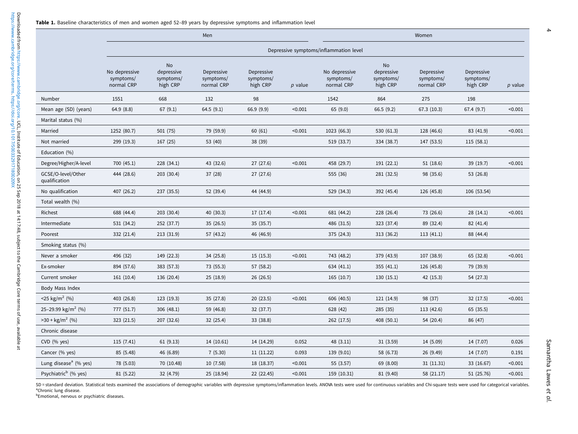<span id="page-3-0"></span>

|                                     |                                          |                                                  | Men                                   |                                     | Women     |                                          |                                           |                                       |                                     |           |  |
|-------------------------------------|------------------------------------------|--------------------------------------------------|---------------------------------------|-------------------------------------|-----------|------------------------------------------|-------------------------------------------|---------------------------------------|-------------------------------------|-----------|--|
|                                     | Depressive symptoms/inflammation level   |                                                  |                                       |                                     |           |                                          |                                           |                                       |                                     |           |  |
|                                     | No depressive<br>symptoms/<br>normal CRP | <b>No</b><br>depressive<br>symptoms/<br>high CRP | Depressive<br>symptoms/<br>normal CRP | Depressive<br>symptoms/<br>high CRP | $p$ value | No depressive<br>symptoms/<br>normal CRP | No<br>depressive<br>symptoms/<br>high CRP | Depressive<br>symptoms/<br>normal CRP | Depressive<br>symptoms/<br>high CRP | $p$ value |  |
| Number                              | 1551                                     | 668                                              | 132                                   | 98                                  |           | 1542                                     | 864                                       | 275                                   | 198                                 |           |  |
| Mean age (SD) (years)               | 64.9(8.8)                                | 67(9.1)                                          | 64.5(9.1)                             | 66.9 (9.9)                          | < 0.001   | 65(9.0)                                  | 66.5(9.2)                                 | 67.3 (10.3)                           | 67.4(9.7)                           | < 0.001   |  |
| Marital status (%)                  |                                          |                                                  |                                       |                                     |           |                                          |                                           |                                       |                                     |           |  |
| Married                             | 1252 (80.7)                              | 501 (75)                                         | 79 (59.9)                             | 60(61)                              | < 0.001   | 1023 (66.3)                              | 530 (61.3)                                | 128 (46.6)                            | 83 (41.9)                           | < 0.001   |  |
| Not married                         | 299 (19.3)                               | 167 (25)                                         | 53 (40)                               | 38 (39)                             |           | 519 (33.7)                               | 334 (38.7)                                | 147 (53.5)                            | 115(58.1)                           |           |  |
| Education (%)                       |                                          |                                                  |                                       |                                     |           |                                          |                                           |                                       |                                     |           |  |
| Degree/Higher/A-level               | 700 (45.1)                               | 228 (34.1)                                       | 43 (32.6)                             | 27(27.6)                            | < 0.001   | 458 (29.7)                               | 191(22.1)                                 | 51(18.6)                              | 39(19.7)                            | < 0.001   |  |
| GCSE/O-level/Other<br>qualification | 444 (28.6)                               | 203 (30.4)                                       | 37 (28)                               | 27(27.6)                            |           | 555 (36)                                 | 281 (32.5)                                | 98 (35.6)                             | 53 (26.8)                           |           |  |
| No qualification                    | 407 (26.2)                               | 237 (35.5)                                       | 52 (39.4)                             | 44 (44.9)                           |           | 529 (34.3)                               | 392 (45.4)                                | 126 (45.8)                            | 106 (53.54)                         |           |  |
| Total wealth (%)                    |                                          |                                                  |                                       |                                     |           |                                          |                                           |                                       |                                     |           |  |
| Richest                             | 688 (44.4)                               | 203 (30.4)                                       | 40 (30.3)                             | 17 (17.4)                           | < 0.001   | 681 (44.2)                               | 228 (26.4)                                | 73 (26.6)                             | 28(14.1)                            | < 0.001   |  |
| Intermediate                        | 531 (34.2)                               | 252 (37.7)                                       | 35(26.5)                              | 35 (35.7)                           |           | 486 (31.5)                               | 323 (37.4)                                | 89 (32.4)                             | 82 (41.4)                           |           |  |
| Poorest                             | 332 (21.4)                               | 213 (31.9)                                       | 57 (43.2)                             | 46 (46.9)                           |           | 375 (24.3)                               | 313 (36.2)                                | 113(41.1)                             | 88 (44.4)                           |           |  |
| Smoking status (%)                  |                                          |                                                  |                                       |                                     |           |                                          |                                           |                                       |                                     |           |  |
| Never a smoker                      | 496 (32)                                 | 149 (22.3)                                       | 34 (25.8)                             | 15(15.3)                            | < 0.001   | 743 (48.2)                               | 379 (43.9)                                | 107 (38.9)                            | 65 (32.8)                           | < 0.001   |  |
| Ex-smoker                           | 894 (57.6)                               | 383 (57.3)                                       | 73 (55.3)                             | 57 (58.2)                           |           | 634 (41.1)                               | 355(41.1)                                 | 126 (45.8)                            | 79 (39.9)                           |           |  |
| Current smoker                      | 161 (10.4)                               | 136 (20.4)                                       | 25(18.9)                              | 26 (26.5)                           |           | 165(10.7)                                | 130(15.1)                                 | 42 (15.3)                             | 54 (27.3)                           |           |  |
| Body Mass Index                     |                                          |                                                  |                                       |                                     |           |                                          |                                           |                                       |                                     |           |  |
| <25 kg/m <sup>2</sup> (%)           | 403 (26.8)                               | 123 (19.3)                                       | 35 (27.8)                             | 20(23.5)                            | < 0.001   | 606 (40.5)                               | 121 (14.9)                                | 98 (37)                               | 32 (17.5)                           | < 0.001   |  |
| 25-29.99 kg/m <sup>2</sup> (%)      | 777 (51.7)                               | 306 (48.1)                                       | 59 (46.8)                             | 32 (37.7)                           |           | 628 (42)                                 | 285 (35)                                  | 113 (42.6)                            | 65(35.5)                            |           |  |
| $>30 + kg/m2$ (%)                   | 323 (21.5)                               | 207 (32.6)                                       | 32 (25.4)                             | 33 (38.8)                           |           | 262 (17.5)                               | 408 (50.1)                                | 54 (20.4)                             | 86 (47)                             |           |  |
| Chronic disease                     |                                          |                                                  |                                       |                                     |           |                                          |                                           |                                       |                                     |           |  |
| $CVD$ (% yes)                       | 115(7.41)                                | 61(9.13)                                         | 14 (10.61)                            | 14 (14.29)                          | 0.052     | 48(3.11)                                 | 31(3.59)                                  | 14 (5.09)                             | 14 (7.07)                           | 0.026     |  |
| Cancer (% yes)                      | 85 (5.48)                                | 46 (6.89)                                        | 7(5.30)                               | 11 (11.22)                          | 0.093     | 139 (9.01)                               | 58 (6.73)                                 | 26 (9.49)                             | 14 (7.07)                           | 0.191     |  |
| Lung disease <sup>a</sup> (% yes)   | 78 (5.03)                                | 70 (10.48)                                       | 10(7.58)                              | 18 (18.37)                          | < 0.001   | 55 (3.57)                                | 69 (8.00)                                 | 31(11.31)                             | 33 (16.67)                          | < 0.001   |  |
| Psychiatric <sup>b</sup> (% yes)    | 81 (5.22)                                | 32 (4.79)                                        | 25 (18.94)                            | 22 (22.45)                          | < 0.001   | 159 (10.31)                              | 81 (9.40)                                 | 58 (21.17)                            | 51 (25.76)                          | < 0.001   |  |

SD = standard deviation. Statistical tests examined the associations of demographic variables with depressive symptoms/inflammation levels. ANOVA tests were used for continuous variables and Chi-square tests were used for <sup>a</sup>Chronic lung disease.

**bEmotional, nervous or psychiatric diseases.**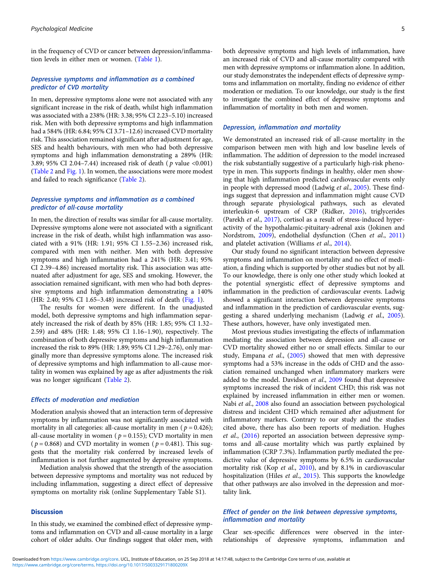in the frequency of CVD or cancer between depression/inflammation levels in either men or women. [\(Table 1\)](#page-3-0).

# Depressive symptoms and inflammation as a combined predictor of CVD mortality

In men, depressive symptoms alone were not associated with any significant increase in the risk of death, whilst high inflammation was associated with a 238% (HR: 3.38; 95% CI 2.23–5.10) increased risk. Men with both depressive symptoms and high inflammation had a 584% (HR: 6.84; 95% CI 3.71–12.6) increased CVD mortality risk. This association remained significant after adjustment for age, SES and health behaviours, with men who had both depressive symptoms and high inflammation demonstrating a 289% (HR: 3.89; 95% CI 2.04–7.44) increased risk of death ( p value <0.001) ([Table 2](#page-5-0) and [Fig. 1](#page-6-0)). In women, the associations were more modest and failed to reach significance ([Table 2](#page-5-0)).

### Depressive symptoms and inflammation as a combined predictor of all-cause mortality

In men, the direction of results was similar for all-cause mortality. Depressive symptoms alone were not associated with a significant increase in the risk of death, whilst high inflammation was associated with a 91% (HR: 1.91; 95% CI 1.55–2.36) increased risk, compared with men with neither. Men with both depressive symptoms and high inflammation had a 241% (HR: 3.41; 95% CI 2.39–4.86) increased mortality risk. This association was attenuated after adjustment for age, SES and smoking. However, the association remained significant, with men who had both depressive symptoms and high inflammation demonstrating a 140% (HR: 2.40; 95% CI 1.65–3.48) increased risk of death [\(Fig. 1](#page-6-0)).

The results for women were different. In the unadjusted model, both depressive symptoms and high inflammation separately increased the risk of death by 85% (HR: 1.85; 95% CI 1.32– 2.59) and 48% (HR: 1.48; 95% CI 1.16–1.90), respectively. The combination of both depressive symptoms and high inflammation increased the risk to 89% (HR: 1.89; 95% CI 1.29–2.76), only marginally more than depressive symptoms alone. The increased risk of depressive symptoms and high inflammation to all-cause mortality in women was explained by age as after adjustments the risk was no longer significant [\(Table 2\)](#page-5-0).

#### Effects of moderation and mediation

Moderation analysis showed that an interaction term of depressive symptoms by inflammation was not significantly associated with mortality in all categories: all-cause mortality in men ( $p = 0.426$ ); all-cause mortality in women ( $p = 0.155$ ); CVD mortality in men ( $p = 0.868$ ) and CVD mortality in women ( $p = 0.481$ ). This suggests that the mortality risk conferred by increased levels of inflammation is not further augmented by depressive symptoms.

Mediation analysis showed that the strength of the association between depressive symptoms and mortality was not reduced by including inflammation, suggesting a direct effect of depressive symptoms on mortality risk (online Supplementary Table S1).

#### **Discussion**

In this study, we examined the combined effect of depressive symptoms and inflammation on CVD and all-cause mortality in a large cohort of older adults. Our findings suggest that older men, with both depressive symptoms and high levels of inflammation, have an increased risk of CVD and all-cause mortality compared with men with depressive symptoms or inflammation alone. In addition, our study demonstrates the independent effects of depressive symptoms and inflammation on mortality, finding no evidence of either moderation or mediation. To our knowledge, our study is the first to investigate the combined effect of depressive symptoms and inflammation of mortality in both men and women.

### Depression, inflammation and mortality

We demonstrated an increased risk of all-cause mortality in the comparison between men with high and low baseline levels of inflammation. The addition of depression to the model increased the risk substantially suggestive of a particularly high-risk phenotype in men. This supports findings in healthy, older men showing that high inflammation predicted cardiovascular events only in people with depressed mood (Ladwig et al., [2005\)](#page-8-0). These findings suggest that depression and inflammation might cause CVD through separate physiological pathways, such as elevated interleukin-6 upstream of CRP (Ridker, [2016](#page-9-0)), triglycerides (Parekh et al., [2017\)](#page-9-0), cortisol as a result of stress-induced hyperactivity of the hypothalamic-pituitary-adrenal axis (Jokinen and Nordstrom, [2009](#page-8-0)), endothelial dysfunction (Chen et al., [2011](#page-7-0)) and platelet activation (Williams et al., [2014\)](#page-10-0).

Our study found no significant interaction between depressive symptoms and inflammation on mortality and no effect of mediation, a finding which is supported by other studies but not by all. To our knowledge, there is only one other study which looked at the potential synergistic effect of depressive symptoms and inflammation in the prediction of cardiovascular events. Ladwig showed a significant interaction between depressive symptoms and inflammation in the prediction of cardiovascular events, suggesting a shared underlying mechanism (Ladwig et al., [2005](#page-8-0)). These authors, however, have only investigated men.

Most previous studies investigating the effects of inflammation mediating the association between depression and all-cause or CVD mortality showed either no or small effects. Similar to our study, Empana et al., ([2005\)](#page-8-0) showed that men with depressive symptoms had a 53% increase in the odds of CHD and the association remained unchanged when inflammatory markers were added to the model. Davidson et al., [2009](#page-7-0) found that depressive symptoms increased the risk of incident CHD; this risk was not explained by increased inflammation in either men or women. Nabi et al., [2008](#page-9-0) also found an association between psychological distress and incident CHD which remained after adjustment for inflammatory markers. Contrary to our study and the studies cited above, there has also been reports of mediation. Hughes et al., ([2016](#page-8-0)) reported an association between depressive symptoms and all-cause mortality which was partly explained by inflammation (CRP 7.3%). Inflammation partly mediated the predictive value of depressive symptoms by 6.5% in cardiovascular mortality risk (Kop et al., [2010](#page-8-0)), and by 8.1% in cardiovascular hospitalization (Hiles et al., [2015\)](#page-8-0). This supports the knowledge that other pathways are also involved in the depression and mortality link.

# Effect of gender on the link between depressive symptoms, inflammation and mortality

Clear sex-specific differences were observed in the interrelationships of depressive symptoms, inflammation and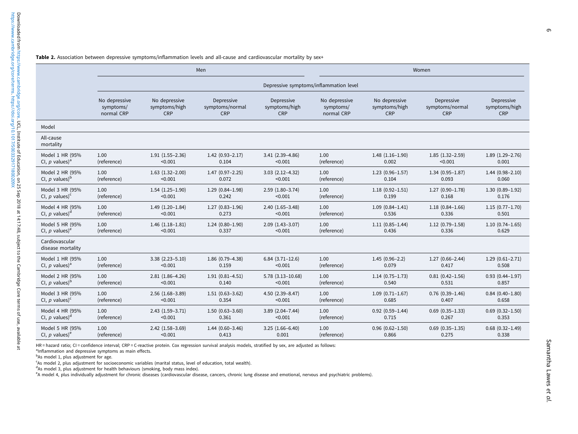<span id="page-5-0"></span>

|                                     |               |                                        | Men                 |                         | Women         |                        |                      |                        |  |  |  |
|-------------------------------------|---------------|----------------------------------------|---------------------|-------------------------|---------------|------------------------|----------------------|------------------------|--|--|--|
|                                     |               | Depressive symptoms/inflammation level |                     |                         |               |                        |                      |                        |  |  |  |
|                                     | No depressive | No depressive                          | Depressive          | Depressive              | No depressive | No depressive          | Depressive           | Depressive             |  |  |  |
|                                     | symptoms/     | symptoms/high                          | symptoms/normal     | symptoms/high           | symptoms/     | symptoms/high          | symptoms/normal      | symptoms/high          |  |  |  |
|                                     | normal CRP    | CRP                                    | <b>CRP</b>          | CRP                     | normal CRP    | <b>CRP</b>             | CRP                  | <b>CRP</b>             |  |  |  |
| Model                               |               |                                        |                     |                         |               |                        |                      |                        |  |  |  |
| All-cause<br>mortality              |               |                                        |                     |                         |               |                        |                      |                        |  |  |  |
| Model 1 HR (95%                     | 1.00          | $1.91(1.55 - 2.36)$                    | $1.42(0.93 - 2.17)$ | $3.41(2.39-4.86)$       | 1.00          | $1.48(1.16-1.90)$      | $1.85(1.32 - 2.59)$  | $1.89(1.29-2.76)$      |  |  |  |
| CI, p values) <sup>a</sup>          | (reference)   | < 0.001                                | 0.104               | < 0.001                 | (reference)   | 0.002                  | < 0.001              | 0.001                  |  |  |  |
| Model 2 HR (95%                     | 1.00          | $1.63$ $(1.32 - 2.00)$                 | $1.47(0.97-2.25)$   | $3.03(2.12-4.32)$       | 1.00          | $1.23(0.96 - 1.57)$    | $1.34(0.95 - 1.87)$  | $1.44(0.98 - 2.10)$    |  |  |  |
| CI, $p$ values) <sup>b</sup>        | (reference)   | < 0.001                                | 0.072               | < 0.001                 | (reference)   | 0.104                  | 0.093                | 0.060                  |  |  |  |
| Model 3 HR (95%                     | 1.00          | $1.54(1.25-1.90)$                      | $1.29(0.84 - 1.98)$ | $2.59(1.80-3.74)$       | 1.00          | $1.18(0.92 - 1.51)$    | $1.27(0.90-1.78)$    | $1.30(0.89-1.92)$      |  |  |  |
| CI, p values) <sup>c</sup>          | (reference)   | < 0.001                                | 0.242               | < 0.001                 | (reference)   | 0.199                  | 0.168                | 0.176                  |  |  |  |
| Model 4 HR (95%                     | 1.00          | $1.49(1.20-1.84)$                      | $1.27(0.83 - 1.96)$ | $2.40(1.65-3.48)$       | 1.00          | $1.09(0.84 - 1.41)$    | $1.18(0.84 - 1.66)$  | $1.15(0.77 - 1.70)$    |  |  |  |
| CI, $p$ values) <sup>d</sup>        | (reference)   | < 0.001                                | 0.273               | < 0.001                 | (reference)   | 0.536                  | 0.336                | 0.501                  |  |  |  |
| Model 5 HR (95%                     | 1.00          | $1.46(1.18-1.81)$                      | $1.24(0.80-1.90)$   | $2.09(1.43 - 3.07)$     | 1.00          | $1.11(0.85 - 1.44)$    | $1.12(0.79-1.58)$    | $1.10(0.74 - 1.65)$    |  |  |  |
| CI, p values) <sup>e</sup>          | (reference)   | < 0.001                                | 0.337               | < 0.001                 | (reference)   | 0.436                  | 0.336                | 0.629                  |  |  |  |
| Cardiovascular<br>disease mortality |               |                                        |                     |                         |               |                        |                      |                        |  |  |  |
| Model 1 HR (95%                     | 1.00          | $3.38(2.23 - 5.10)$                    | $1.86(0.79-4.38)$   | $6.84(3.71-12.6)$       | 1.00          | $1.45(0.96-2.2)$       | $1.27(0.66 - 2.44)$  | $1.29(0.61 - 2.71)$    |  |  |  |
| CI, p values) <sup>a</sup>          | (reference)   | < 0.001                                | 0.159               | < 0.001                 | (reference)   | 0.079                  | 0.417                | 0.508                  |  |  |  |
| Model 2 HR (95%                     | 1.00          | $2.81(1.86-4.26)$                      | $1.91(0.81 - 4.51)$ | $5.78$ $(3.13 - 10.68)$ | 1.00          | $1.14(0.75-1.73)$      | $0.81(0.42 - 1.56)$  | $0.93(0.44 - 1.97)$    |  |  |  |
| CI, $p$ values) $b$                 | (reference)   | < 0.001                                | 0.140               | < 0.001                 | (reference)   | 0.540                  | 0.531                | 0.857                  |  |  |  |
| Model 3 HR (95%                     | 1.00          | $2.56$ $(1.68 - 3.89)$                 | $1.51(0.63 - 3.62)$ | 4.50 (2.39-8.47)        | 1.00          | $1.09(0.71 - 1.67)$    | $0.76$ $(0.39-1.46)$ | $0.84$ (0.40-1.80)     |  |  |  |
| CI, p values) $c$                   | (reference)   | < 0.001                                | 0.354               | < 0.001                 | (reference)   | 0.685                  | 0.407                | 0.658                  |  |  |  |
| Model 4 HR (95%                     | 1.00          | $2.43(1.59-3.71)$                      | $1.50(0.63 - 3.60)$ | $3.89(2.04 - 7.44)$     | 1.00          | $0.92$ $(0.59-1.44)$   | $0.69$ $(0.35-1.33)$ | $0.69$ $(0.32 - 1.50)$ |  |  |  |
| CI, p values) <sup>d</sup>          | (reference)   | < 0.001                                | 0.361               | < 0.001                 | (reference)   | 0.715                  | 0.267                | 0.353                  |  |  |  |
| Model 5 HR (95%                     | 1.00          | $2.42$ $(1.58 - 3.69)$                 | $1.44(0.60-3.46)$   | $3.25(1.66-6.40)$       | 1.00          | $0.96$ $(0.62 - 1.50)$ | $0.69$ $(0.35-1.35)$ | $0.68$ $(0.32 - 1.49)$ |  |  |  |
| CI, $p$ values) <sup>e</sup>        | (reference)   | < 0.001                                | 0.413               | 0.001                   | (reference)   | 0.866                  | 0.275                | 0.338                  |  |  |  |

HR = hazard ratio; CI = confidence interval; CRP = C-reactive protein. Cox regression survival analysis models, stratified by sex, are adjusted as follows:

<sup>a</sup>Inflammation and depressive symptoms as main effects.

<sup>b</sup>As model 1, plus adjustment for age.

<sup>c</sup>As model 2, plus adjustment for socioeconomic variables (marital status, level of education, total wealth).

 $d$ As model 3, plus adjustment for health behaviours (smoking, body mass index).

<sup>e</sup>A model 4, plus individually adjustment for chronic diseases (cardiovascular disease, cancers, chronic lung disease and emotional, nervous and psychiatric problems).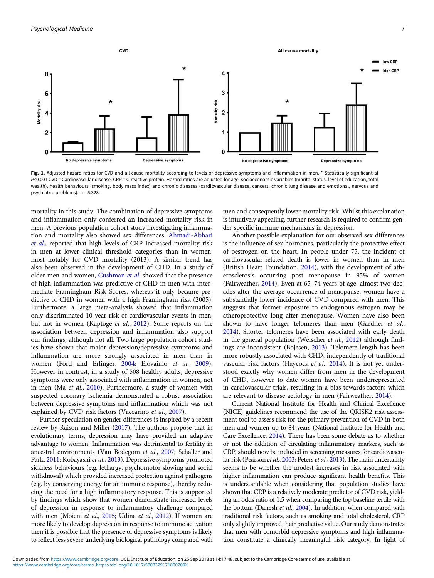<span id="page-6-0"></span>

Fig. 1. Adjusted hazard ratios for CVD and all-cause mortality according to levels of depressive symptoms and inflammation in men. \* Statistically significant at P<0.001.CVD = Cardiovascular disease; CRP = C-reactive protein. Hazard ratios are adjusted for age, socioeconomic variables (marital status, level of education, total wealth), health behaviours (smoking, body mass index) and chronic diseases (cardiovascular disease, cancers, chronic lung disease and emotional, nervous and psychiatric problems). n = 5,328.

mortality in this study. The combination of depressive symptoms and inflammation only conferred an increased mortality risk in men. A previous population cohort study investigating inflammation and mortality also showed sex differences. [Ahmadi-Abhari](#page-7-0) [et al](#page-7-0)., reported that high levels of CRP increased mortality risk in men at lower clinical threshold categories than in women, most notably for CVD mortality (2013). A similar trend has also been observed in the development of CHD. In a study of older men and women, [Cushman](#page-7-0) et al. showed that the presence of high inflammation was predictive of CHD in men with intermediate Framingham Risk Scores, whereas it only became predictive of CHD in women with a high Framingham risk (2005). Furthermore, a large meta-analysis showed that inflammation only discriminated 10-year risk of cardiovascular events in men, but not in women (Kaptoge et al., [2012\)](#page-8-0). Some reports on the association between depression and inflammation also support our findings, although not all. Two large population cohort studies have shown that major depression/depressive symptoms and inflammation are more strongly associated in men than in women (Ford and Erlinger, [2004;](#page-8-0) Elovainio et al., [2009\)](#page-8-0). However in contrast, in a study of 508 healthy adults, depressive symptoms were only associated with inflammation in women, not in men (Ma et al., [2010](#page-9-0)). Furthermore, a study of women with suspected coronary ischemia demonstrated a robust association between depressive symptoms and inflammation which was not explained by CVD risk factors (Vaccarino et al., [2007](#page-9-0)).

Further speculation on gender differences is inspired by a recent review by Raison and Miller [\(2017](#page-9-0)). The authors propose that in evolutionary terms, depression may have provided an adaptive advantage to women. Inflammation was detrimental to fertility in ancestral environments (Van Bodegom et al., [2007](#page-9-0); Schaller and Park, [2011;](#page-9-0) Kobayashi et al., [2013\)](#page-8-0). Depressive symptoms promoted sickness behaviours (e.g. lethargy, psychomotor slowing and social withdrawal) which provided increased protection against pathogens (e.g. by conserving energy for an immune response), thereby reducing the need for a high inflammatory response. This is supported by findings which show that women demonstrate increased levels of depression in response to inflammatory challenge compared with men (Moieni et al., [2015;](#page-9-0) Udina et al., [2012\)](#page-9-0). If women are more likely to develop depression in response to immune activation then it is possible that the presence of depressive symptoms is likely to reflect less severe underlying biological pathology compared with men and consequently lower mortality risk. Whilst this explanation is intuitively appealing, further research is required to confirm gender specific immune mechanisms in depression.

Another possible explanation for our observed sex differences is the influence of sex hormones, particularly the protective effect of oestrogen on the heart. In people under 75, the incident of cardiovascular-related death is lower in women than in men (British Heart Foundation, [2014\)](#page-7-0), with the development of atherosclerosis occurring post menopause in 95% of women (Fairweather, [2014](#page-8-0)). Even at 65–74 years of age, almost two decades after the average occurrence of menopause, women have a substantially lower incidence of CVD compared with men. This suggests that former exposure to endogenous estrogen may be atheroprotective long after menopause. Women have also been shown to have longer telomeres than men (Gardner et al., [2014](#page-8-0)). Shorter telomeres have been associated with early death in the general population (Weischer et al., [2012](#page-10-0)) although findings are inconsistent (Bojesen, [2013](#page-7-0)). Telomere length has been more robustly associated with CHD, independently of traditional vascular risk factors (Haycock et al., [2014](#page-8-0)). It is not yet understood exactly why women differ from men in the development of CHD, however to date women have been underrepresented in cardiovascular trials, resulting in a bias towards factors which are relevant to disease aetiology in men (Fairweather, [2014\)](#page-8-0).

Current National Institute for Health and Clinical Excellence (NICE) guidelines recommend the use of the QRISK2 risk assessment tool to assess risk for the primary prevention of CVD in both men and women up to 84 years (National Institute for Health and Care Excellence, [2014](#page-9-0)). There has been some debate as to whether or not the addition of circulating inflammatory markers, such as CRP, should now be included in screening measures for cardiovascu-lar risk (Pearson et al., [2003;](#page-9-0) Peters et al., [2013](#page-9-0)). The main uncertainty seems to be whether the modest increases in risk associated with higher inflammation can produce significant health benefits. This is understandable when considering that population studies have shown that CRP is a relatively moderate predictor of CVD risk, yielding an odds ratio of 1.5 when comparing the top baseline tertile with the bottom (Danesh et al., [2004](#page-7-0)). In addition, when compared with traditional risk factors, such as smoking and total cholesterol, CRP only slightly improved their predictive value. Our study demonstrates that men with comorbid depressive symptoms and high inflammation constitute a clinically meaningful risk category. In light of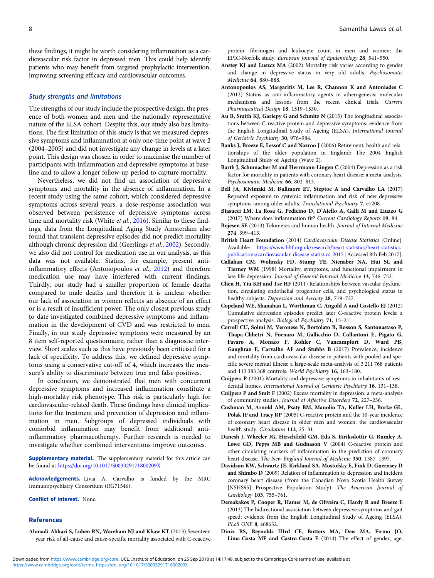<span id="page-7-0"></span>these findings, it might be worth considering inflammation as a cardiovascular risk factor in depressed men. This could help identify patients who may benefit from targeted prophylactic intervention, improving screening efficacy and cardiovascular outcomes.

#### Study strengths and limitations

The strengths of our study include the prospective design, the presence of both women and men and the nationally representative nature of the ELSA cohort. Despite this, our study also has limitations. The first limitation of this study is that we measured depressive symptoms and inflammation at only one-time point at wave 2 (2004–2005) and did not investigate any change in levels at a later point. This design was chosen in order to maximise the number of participants with inflammation and depressive symptoms at baseline and to allow a longer follow-up period to capture mortality.

Nevertheless, we did not find an association of depressive symptoms and mortality in the absence of inflammation. In a recent study using the same cohort, which considered depressive symptoms across several years, a dose-response association was observed between persistence of depressive symptoms across time and mortality risk (White et al., [2016\)](#page-10-0). Similar to these findings, data from the Longitudinal Aging Study Amsterdam also found that transient depressive episodes did not predict mortality although chronic depression did (Geerlings et al., [2002\)](#page-8-0). Secondly, we also did not control for medication use in our analysis, as this data was not available. Statins, for example, present antiinflammatory effects (Antonopoulos et al., 2012) and therefore medication use may have interfered with current findings. Thirdly, our study had a smaller proportion of female deaths compared to male deaths and therefore it is unclear whether our lack of association in women reflects an absence of an effect or is a result of insufficient power. The only closest previous study to date investigated combined depressive symptoms and inflammation in the development of CVD and was restricted to men. Finally, in our study depressive symptoms were measured by an 8 item self-reported questionnaire, rather than a diagnostic interview. Short scales such as this have previously been criticised for a lack of specificity. To address this, we defined depressive symptoms using a conservative cut-off of 4, which increases the measure's ability to discriminate between true and false positives.

In conclusion, we demonstrated that men with concurrent depressive symptoms and increased inflammation constitute a high-mortality risk phenotype. This risk is particularly high for cardiovascular-related death. These findings have clinical implications for the treatment and prevention of depression and inflammation in men. Subgroups of depressed individuals with comorbid inflammation may benefit from additional antiinflammatory pharmacotherapy. Further research is needed to investigate whether combined interventions improve outcomes.

Supplementary material. The supplementary material for this article can be found at <https://doi.org/10.1017/S003329171800209X>

Acknowledgements. Livia A. Carvalho is funded by the MRC Immunopsychiatry Consortium (RG71546).

Conflict of interest. None.

### References

Ahmadi-Abhari S, Luben RN, Wareham NJ and Khaw KT (2013) Seventeen year risk of all-cause and cause-specific mortality associated with C-reactive protein, fibrinogen and leukocyte count in men and women: the EPIC-Norfolk study. European Journal of Epidemiology 28, 541–550.

- Anstey KJ and Luszcz MA (2002) Mortality risk varies according to gender and change in depressive status in very old adults. Psychosomatic Medicine 64, 880–888.
- Antonopoulos AS, Margaritis M, Lee R, Channon K and Antoniades C (2012) Statins as anti-inflammatory agents in atherogenesis: molecular mechanisms and lessons from the recent clinical trials. Current Pharmaceutical Design 18, 1519–1530.
- Au B, Smith KJ, Gariepy G and Schmitz N (2015) The longitudinal associations between C-reactive protein and depressive symptoms: evidence from the English Longitudinal Study of Ageing (ELSA). International Journal of Geriatric Psychiatry 30, 976–984.
- Banks J, Breeze E, Lessof C and Nazroo J (2006) Retirement, health and relationships of the older population in England: The 2004 English Longitudinal Study of Ageing (Wave 2).
- Barth J, Schumacher M and Herrmann-Lingen C (2004) Depression as a risk factor for mortality in patients with coronary heart disease: a meta-analysis. Psychosomatic Medicine 66, 802–813.
- Bell JA, Kivimaki M, Bullmore ET, Steptoe A and Carvalho LA (2017) Repeated exposure to systemic inflammation and risk of new depressive symptoms among older adults. Translational Psychiatry 7, e1208.
- Biasucci LM, La Rosa G, Pedicino D, D'Aiello A, Galli M and Liuzzo G (2017) Where does inflammation fit? Current Cardiology Reports 19, 84.
- Bojesen SE (2013) Telomeres and human health. Journal of Internal Medicine 274, 399–413.
- British Heart Foundation (2014) Cardiovascular Disease Statistics [Online]. Available: [https://www.bhf.org.uk/research/heart-statistics/heart-statistics](https://www.bhf.org.uk/research/heart-statistics/heart-statistics-publications/cardiovascular-disease-statistics-2015)[publications/cardiovascular-disease-statistics-2015](https://www.bhf.org.uk/research/heart-statistics/heart-statistics-publications/cardiovascular-disease-statistics-2015) [Accessed 8th Feb 2017].
- Callahan CM, Wolinsky FD, Stump TE, Nienaber NA, Hui SL and Tierney WM (1998) Mortality, symptoms, and functional impairment in late-life depression. Journal of General Internal Medicine 13, 746–752.
- Chen H, Yiu KH and Tse HF (2011) Relationships between vascular dysfunction, circulating endothelial progenitor cells, and psychological status in healthy subjects. Depression and Anxiety 28, 719–727.
- Copeland WE, Shanahan L, Worthman C, Angold A and Costello EJ (2012) Cumulative depression episodes predict later C-reactive protein levels: a prospective analysis. Biological Psychiatry 71, 15–21.
- Correll CU, Solmi M, Veronese N, Bortolato B, Rosson S, Santonastaso P, Thapa-Chhetri N, Fornaro M, Gallicchio D, Collantoni E, Pigato G, Favaro A, Monaco F, Kohler C, Vancampfort D, Ward PB, Gaughran F, Carvalho AF and Stubbs B (2017) Prevalence, incidence and mortality from cardiovascular disease in patients with pooled and specific severe mental illness: a large-scale meta-analysis of 3 211 768 patients and 113 383 368 controls. World Psychiatry 16, 163–180.
- Cuijpers P (2001) Mortality and depressive symptoms in inhabitants of residential homes. International Journal of Geriatric Psychiatry 16, 131–138.
- Cuijpers P and Smit F (2002) Excess mortality in depression: a meta-analysis of community studies. Journal of Affective Disorders 72, 227–236.
- Cushman M, Arnold AM, Psaty BM, Manolio TA, Kuller LH, Burke GL, Polak JF and Tracy RP (2005) C-reactive protein and the 10-year incidence of coronary heart disease in older men and women: the cardiovascular health study. Circulation 112, 25–31.
- Danesh J, Wheeler JG, Hirschfield GM, Eda S, Eiriksdottir G, Rumley A, Lowe GD, Pepys MB and Gudnason V (2004) C-reactive protein and other circulating markers of inflammation in the prediction of coronary heart disease. The New England Journal of Medicine 350, 1387–1397.
- Davidson KW, Schwartz JE, Kirkland SA, Mostofsky E, Fink D, Guernsey D and Shimbo D (2009) Relation of inflammation to depression and incident coronary heart disease (from the Canadian Nova Scotia Health Survey [NSHS95] Prospective Population Study). The American Journal of Cardiology 103, 755–761.
- Demakakos P, Cooper R, Hamer M, de Oliveira C, Hardy R and Breeze E (2013) The bidirectional association between depressive symptoms and gait speed: evidence from the English Longitudinal Study of Ageing (ELSA). PLoS ONE 8, e68632.
- Diniz BS, Reynolds IIIrd CF, Butters MA, Dew MA, Firmo JO, Lima-Costa MF and Castro-Costa E (2014) The effect of gender, age,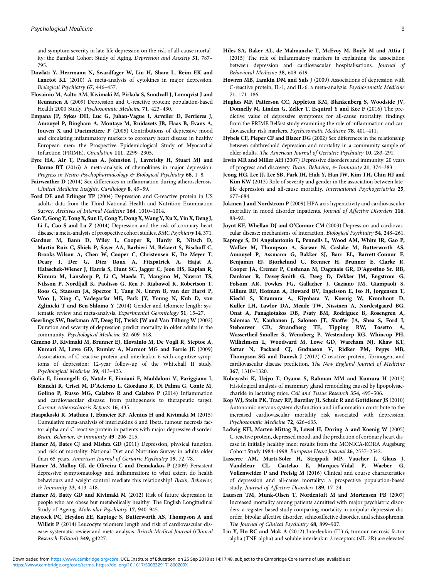<span id="page-8-0"></span>and symptom severity in late-life depression on the risk of all-cause mortality: the Bambui Cohort Study of Aging. Depression and Anxiety 31, 787– 795.

- Dowlati Y, Herrmann N, Swardfager W, Liu H, Sham L, Reim EK and Lanctot KL (2010) A meta-analysis of cytokines in major depression. Biological Psychiatry 67, 446–457.
- Elovainio M, Aalto AM, Kivimaki M, Pirkola S, Sundvall J, Lonnqvist J and Reunanen A (2009) Depression and C-reactive protein: population-based Health 2000 Study. Psychosomatic Medicine 71, 423–430.
- Empana JP, Sykes DH, Luc G, Juhan-Vague I, Arveiler D, Ferrieres J, Amouyel P, Bingham A, Montaye M, Ruidavets JB, Haas B, Evans A, Jouven X and Ducimetiere P (2005) Contributions of depressive mood and circulating inflammatory markers to coronary heart disease in healthy European men: the Prospective Epidemiological Study of Myocardial Infarction (PRIME). Circulation 111, 2299–2305.
- Eyre HA, Air T, Pradhan A, Johnston J, Lavretsky H, Stuart MJ and Baune BT (2016) A meta-analysis of chemokines in major depression. Progress in Neuro-Psychopharmacology & Biological Psychiatry 68, 1-8.
- Fairweather D (2014) Sex differences in inflammation during atherosclerosis. Clinical Medicine Insights. Cardiology 8, 49–59.
- Ford DE and Erlinger TP (2004) Depression and C-reactive protein in US adults: data from the Third National Health and Nutrition Examination Survey. Archives of Internal Medicine 164, 1010–1014.
- Gan Y, Gong Y, Tong X, Sun H, Cong Y, Dong X, Wang Y, Xu X, Yin X, Deng J, Li L, Cao S and Lu Z (2014) Depression and the risk of coronary heart disease: a meta-analysis of prospective cohort studies. BMC Psychiatry 14, 371.
- Gardner M, Bann D, Wiley L, Cooper R, Hardy R, Nitsch D, Martin-Ruiz C, Shiels P, Sayer AA, Barbieri M, Bekaert S, Bischoff C, Brooks-Wilson A, Chen W, Cooper C, Christensen K, De Meyer T, Deary I, Der G, Diez Roux A, Fitzpatrick A, Hajat A, Halaschek-Wiener J, Harris S, Hunt SC, Jagger C, Jeon HS, Kaplan R, Kimura M, Lansdorp P, Li C, Maeda T, Mangino M, Nawrot TS, Nilsson P, Nordfjall K, Paolisso G, Ren F, Riabowol K, Robertson T, Roos G, Staessen JA, Spector T, Tang N, Unryn B, van der Harst P, Woo J, Xing C, Yadegarfar ME, Park JY, Young N, Kuh D, von Zglinicki T and Ben-Shlomo Y (2014) Gender and telomere length: systematic review and meta-analysis. Experimental Gerontology 51, 15–27.
- Geerlings SW, Beekman AT, Deeg DJ, Twisk JW and Van Tilburg W (2002) Duration and severity of depression predict mortality in older adults in the community. Psychological Medicine 32, 609–618.
- Gimeno D, Kivimaki M, Brunner EJ, Elovainio M, De Vogli R, Steptoe A, Kumari M, Lowe GD, Rumley A, Marmot MG and Ferrie JE (2009) Associations of C-reactive protein and interleukin-6 with cognitive symptoms of depression: 12-year follow-up of the Whitehall II study. Psychological Medicine 39, 413–423.
- Golia E, Limongelli G, Natale F, Fimiani F, Maddaloni V, Pariggiano I, Bianchi R, Crisci M, D'Acierno L, Giordano R, Di Palma G, Conte M, Golino P, Russo MG, Calabro R and Calabro P (2014) Inflammation and cardiovascular disease: from pathogenesis to therapeutic target. Current Atherosclerosis Reports 16, 435.
- Haapakoski R, Mathieu J, Ebmeier KP, Alenius H and Kivimaki M (2015) Cumulative meta-analysis of interleukins 6 and 1beta, tumour necrosis factor alpha and C-reactive protein in patients with major depressive disorder. Brain, Behavior, & Immunity 49, 206–215.
- Hamer M, Bates CJ and Mishra GD (2011) Depression, physical function, and risk of mortality: National Diet and Nutrition Survey in adults older than 65 years. American Journal of Geriatric Psychiatry 19, 72–78.
- Hamer M, Molloy GJ, de Oliveira C and Demakakos P (2009) Persistent depressive symptomatology and inflammation: to what extent do health behaviours and weight control mediate this relationship? Brain, Behavior, & Immunity 23, 413–418.
- Hamer M, Batty GD and Kivimaki M (2012) Risk of future depression in people who are obese but metabolically healthy: The English Longitudinal Study of Ageing. Molecular Psychiatry 17, 940–945.
- Haycock PC, Heydon EE, Kaptoge S, Butterworth AS, Thompson A and Willeit P (2014) Leucocyte telomere length and risk of cardiovascular disease: systematic review and meta-analysis. British Medical Journal (Clinical Research Edition) 349, g4227.
- Hiles SA, Baker AL, de Malmanche T, McEvoy M, Boyle M and Attia J (2015) The role of inflammatory markers in explaining the association between depression and cardiovascular hospitalisations. Journal of Behavioral Medicine 38, 609–619.
- Howren MB, Lamkin DM and Suls J (2009) Associations of depression with C-reactive protein, IL-1, and IL-6: a meta-analysis. Psychosomatic Medicine 71, 171–186.
- Hughes MF, Patterson CC, Appleton KM, Blankenberg S, Woodside JV, Donnelly M, Linden G, Zeller T, Esquirol Y and Kee F (2016) The predictive value of depressive symptoms for all-cause mortality: findings from the PRIME Belfast study examining the role of inflammation and cardiovascular risk markers. Psychosomatic Medicine 78, 401–411.
- Hybels CF, Pieper CF and Blazer DG (2002) Sex differences in the relationship between subthreshold depression and mortality in a community sample of older adults. The American Journal of Geriatric Psychiatry 10, 283–291.
- Irwin MR and Miller AH (2007) Depressive disorders and immunity: 20 years of progress and discovery. Brain, Behavior, & Immunity 21, 374-383.
- Jeong HG, Lee JJ, Lee SB, Park JH, Huh Y, Han JW, Kim TH, Chin HJ and Kim KW (2013) Role of severity and gender in the association between latelife depression and all-cause mortality. International Psychogeriatrics 25, 677–684.
- Jokinen J and Nordstrom P (2009) HPA axis hyperactivity and cardiovascular mortality in mood disorder inpatients. Journal of Affective Disorders 116, 88–92.
- Joynt KE, Whellan DJ and O'Connor CM (2003) Depression and cardiovascular disease: mechanisms of interaction. Biological Psychiatry 54, 248–261.
- Kaptoge S, Di Angelantonio E, Pennells L, Wood AM, White IR, Gao P, Walker M, Thompson A, Sarwar N, Caslake M, Butterworth AS, Amouyel P, Assmann G, Bakker SJ, Barr EL, Barrett-Connor E, Benjamin EJ, Bjorkelund C, Brenner H, Brunner E, Clarke R, Cooper JA, Cremer P, Cushman M, Dagenais GR, D'Agostino Sr. RB, Dankner R, Davey-Smith G, Deeg D, Dekker JM, Engstrom G, Folsom AR, Fowkes FG, Gallacher J, Gaziano JM, Giampaoli S, Gillum RF, Hofman A, Howard BV, Ingelsson E, Iso H, Jorgensen T, Kiechl S, Kitamura A, Kiyohara Y, Koenig W, Kromhout D, Kuller LH, Lawlor DA, Meade TW, Nissinen A, Nordestgaard BG, Onat A, Panagiotakos DB, Psaty BM, Rodriguez B, Rosengren A, Salomaa V, Kauhanen J, Salonen JT, Shaffer JA, Shea S, Ford I, Stehouwer CD, Strandberg TE, Tipping RW, Tosetto A, Wassertheil-Smoller S, Wennberg P, Westendorp RG, Whincup PH, Wilhelmsen L, Woodward M, Lowe GD, Wareham NJ, Khaw KT, Sattar N, Packard CJ, Gudnason V, Ridker PM, Pepys MB, Thompson SG and Danesh J (2012) C-reactive protein, fibrinogen, and cardiovascular disease prediction. The New England Journal of Medicine 367, 1310–1320.
- Kobayashi K, Uejyo T, Oyama S, Rahman MM and Kumura H (2013) Histological analysis of mammary gland remodeling caused by lipopolysaccharide in lactating mice. Cell and Tissue Research 354, 495–506.
- Kop WJ, Stein PK, Tracy RP, Barzilay JI, Schulz R and Gottdiener JS (2010) Autonomic nervous system dysfunction and inflammation contribute to the increased cardiovascular mortality risk associated with depression. Psychosomatic Medicine 72, 626–635.
- Ladwig KH, Marten-Mittag B, Lowel H, Doring A and Koenig W (2005) C-reactive protein, depressed mood, and the prediction of coronary heart disease in initially healthy men: results from the MONICA-KORA Augsburg Cohort Study 1984–1998. European Heart Journal 26, 2537–2542.
- Lasserre AM, Marti-Soler H, Strippoli MP, Vaucher J, Glaus J, Vandeleur CL, Castelao E, Marques-Vidal P, Waeber G, Vollenweider P and Preisig M (2016) Clinical and course characteristics of depression and all-cause mortality: a prospective population-based study. Journal of Affective Disorders 189, 17–24.
- Laursen TM, Munk-Olsen T, Nordentoft M and Mortensen PB (2007) Increased mortality among patients admitted with major psychiatric disorders: a register-based study comparing mortality in unipolar depressive disorder, bipolar affective disorder, schizoaffective disorder, and schizophrenia. The Journal of Clinical Psychiatry 68, 899–907.
- Liu Y, Ho RC and Mak A (2012) Interleukin (IL)-6, tumour necrosis factor alpha (TNF-alpha) and soluble interleukin-2 receptors (sIL-2R) are elevated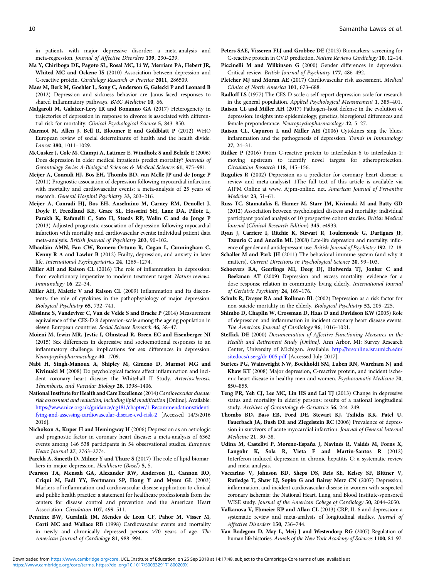<span id="page-9-0"></span>in patients with major depressive disorder: a meta-analysis and meta-regression. Journal of Affective Disorders 139, 230–239.

- Ma Y, Chiriboga DE, Pagoto SL, Rosal MC, Li W, Merriam PA, Hebert JR, Whited MC and Ockene IS (2010) Association between depression and C-reactive protein. Cardiology Research & Practice 2011, 286509.
- Maes M, Berk M, Goehler L, Song C, Anderson G, Gałecki P and Leonard B (2012) Depression and sickness behavior are Janus-faced responses to shared inflammatory pathways. BMC Medicine 10, 66.
- Malgaroli M, Galatzer-Levy IR and Bonanno GA (2017) Heterogeneity in trajectories of depression in response to divorce is associated with differential risk for mortality. Clinical Psychological Science 5, 843–850.
- Marmot M, Allen J, Bell R, Bloomer E and Goldblatt P (2012) WHO European review of social determinants of health and the health divide. Lancet 380, 1011–1029.
- McCusker J, Cole M, Ciampi A, Latimer E, Windholz S and Belzile E (2006) Does depression in older medical inpatients predict mortality? Journals of Gerontology Series A-Biological Sciences & Medical Sciences 61, 975-981.
- Meijer A, Conradi HJ, Bos EH, Thombs BD, van Melle JP and de Jonge P (2011) Prognostic association of depression following myocardial infarction with mortality and cardiovascular events: a meta-analysis of 25 years of research. General Hospital Psychiatry 33, 203–216.
- Meijer A, Conradi HJ, Bos EH, Anselmino M, Carney RM, Denollet J, Doyle F, Freedland KE, Grace SL, Hosseini SH, Lane DA, Pilote L, Parakh K, Rafanelli C, Sato H, Steeds RP, Welin C and de Jonge P (2013) Adjusted prognostic association of depression following myocardial infarction with mortality and cardiovascular events: individual patient data meta-analysis. British Journal of Psychiatry 203, 90–102.
- Mhaoláin AMN, Fan CW, Romero-Ortuno R, Cogan L, Cunningham C, Kenny R-A and Lawlor B (2012) Frailty, depression, and anxiety in later life. International Psychogeriatrics 24, 1265–1274.
- Miller AH and Raison CL (2016) The role of inflammation in depression: from evolutionary imperative to modern treatment target. Nature reviews. Immunology 16, 22–34.
- Miller AH, Maletic V and Raison CL (2009) Inflammation and Its discontents: the role of cytokines in the pathophysiology of major depression. Biological Psychiatry 65, 732–741.
- Missinne S, Vandeviver C, Van de Velde S and Bracke P (2014) Measurement equivalence of the CES-D 8 depression-scale among the ageing population in eleven European countries. Social Science Research 46, 38–47.
- Moieni M, Irwin MR, Jevtic I, Olmstead R, Breen EC and Eisenberger NI (2015) Sex differences in depressive and socioemotional responses to an inflammatory challenge: implications for sex differences in depression. Neuropsychopharmacology 40, 1709.
- Nabi H, Singh-Manoux A, Shipley M, Gimeno D, Marmot MG and Kivimaki M (2008) Do psychological factors affect inflammation and incident coronary heart disease: the Whitehall II Study. Arteriosclerosis, Thrombosis, and Vascular Biology 28, 1398–1406.
- National Institute for Health and Care Excellence (2014) Cardiovascular disease: risk assessment and reduction, including lipid modification [Online]. Available: [https://www.nice.org.uk/guidance/cg181/chapter/1-Recommendations#identi](https://www.nice.org.uk/guidance/cg181/chapter/1-Recommendations#identifying-and-assessing-cardiovascular-disease-cvd-risk-2) [fying-and-assessing-cardiovascular-disease-cvd-risk-2](https://www.nice.org.uk/guidance/cg181/chapter/1-Recommendations#identifying-and-assessing-cardiovascular-disease-cvd-risk-2) [Accessed 14/3/2016 2016].
- Nicholson A, Kuper H and Hemingway H (2006) Depression as an aetiologic and prognostic factor in coronary heart disease: a meta-analysis of 6362 events among 146 538 participants in 54 observational studies. European Heart Journal 27, 2763–2774.
- Parekh A, Smeeth D, Milner Y and Thure S (2017) The role of lipid biomarkers in major depression. Healthcare (Basel) 5, 5.
- Pearson TA, Mensah GA, Alexander RW, Anderson JL, Cannon RO, Criqui M, Fadl YY, Fortmann SP, Hong Y and Myers GL (2003) Markers of inflammation and cardiovascular disease application to clinical and public health practice: a statement for healthcare professionals from the centers for disease control and prevention and the American Heart Association. Circulation 107, 499–511.
- Penninx BW, Guralnik JM, Mendes de Leon CF, Pahor M, Visser M, Corti MC and Wallace RB (1998) Cardiovascular events and mortality in newly and chronically depressed persons >70 years of age. The American Journal of Cardiology 81, 988–994.
- Peters SAE, Visseren FLJ and Grobbee DE (2013) Biomarkers: screening for C-reactive protein in CVD prediction. Nature Reviews Cardiology 10, 12–14.
- Piccinelli M and Wilkinson G (2000) Gender differences in depression. Critical review. British Journal of Psychiatry 177, 486–492.
- Pletcher MJ and Moran AE (2017) Cardiovascular risk assessment. Medical Clinics of North America 101, 673–688.
- Radloff LS (1977) The CES-D scale a self-report depression scale for research in the general population. Applied Psychological Measurement 1, 385–401.
- Raison CL and Miller AH (2017) Pathogen–host defense in the evolution of depression: insights into epidemiology, genetics, bioregional differences and female preponderance. Neuropsychopharmacology 42, 5–27.
- Raison CL, Capuron L and Miller AH (2006) Cytokines sing the blues: inflammation and the pathogenesis of depression. Trends in Immunology 27, 24–31.
- Ridker P (2016) From C-reactive protein to interleukin-6 to interleukin-1: moving upstream to identify novel targets for atheroprotection. Circulation Research 118, 145–156.
- Rugulies R (2002) Depression as a predictor for coronary heart disease: a review and meta-analysis1 1The full text of this article is available via AJPM Online at www. Ajpm-online. net. American Journal of Preventive Medicine 23, 51–61.
- Russ TC, Stamatakis E, Hamer M, Starr JM, Kivimaki M and Batty GD (2012) Association between psychological distress and mortality: individual participant pooled analysis of 10 prospective cohort studies. British Medical Journal (Clinical Research Edition) 345, e4933.
- Ryan J, Carriere I, Ritchie K, Stewart R, Toulemonde G, Dartigues JF, Tzourio C and Ancelin ML (2008) Late-life depression and mortality: influence of gender and antidepressant use. British Journal of Psychiatry 192, 12–18.
- Schaller M and Park JH (2011) The behavioral immune system (and why it matters). Current Directions in Psychological Science 20, 99–103.
- Schoevers RA, Geerlings MI, Deeg DJ, Holwerda TJ, Jonker C and Beekman AT (2009) Depression and excess mortality: evidence for a dose response relation in community living elderly. International Journal of Geriatric Psychiatry 24, 169–176.
- Schulz R, Drayer RA and Rollman BL (2002) Depression as a risk factor for non-suicide mortality in the elderly. Biological Psychiatry 52, 205–225.
- Shimbo D, Chaplin W, Crossman D, Haas D and Davidson KW (2005) Role of depression and inflammation in incident coronary heart disease events. The American Journal of Cardiology 96, 1016–1021.
- Steffick DE (2000) Documentation of Affective Functioning Measures in the Health and Retirement Study [Online]. Ann Arbor, MI: Survey Research Center, University of Michigan. Available: [http://hrsonline.isr.umich.edu/](http://hrsonline.isr.umich.edu/sitedocs/userg/dr-005.pdf) [sitedocs/userg/dr-005.pdf](http://hrsonline.isr.umich.edu/sitedocs/userg/dr-005.pdf) [Accessed July 2017].
- Surtees PG, Wainwright NW, Boekholdt SM, Luben RN, Wareham NJ and Khaw KT (2008) Major depression, C-reactive protein, and incident ischemic heart disease in healthy men and women. Psychosomatic Medicine 70, 850–855.
- Teng PR, Yeh CJ, Lee MC, Lin HS and Lai TJ (2013) Change in depressive status and mortality in elderly persons: results of a national longitudinal study. Archives of Gerontology & Geriatrics 56, 244–249.
- Thombs BD, Bass EB, Ford DE, Stewart KJ, Tsilidis KK, Patel U, Fauerbach JA, Bush DE and Ziegelstein RC (2006) Prevalence of depression in survivors of acute myocardial infarction. Journal of General Internal Medicine 21, 30–38.
- Udina M, Castellví P, Moreno-España J, Navinés R, Valdés M, Forns X, Langohr K, Sola R, Vieta E and Martín-Santos R (2012) Interferon-induced depression in chronic hepatitis C: a systematic review and meta-analysis.
- Vaccarino V, Johnson BD, Sheps DS, Reis SE, Kelsey SF, Bittner V, Rutledge T, Shaw LJ, Sopko G and Bairey Merz CN (2007) Depression, inflammation, and incident cardiovascular disease in women with suspected coronary ischemia: the National Heart, Lung, and Blood Institute-sponsored WISE study. Journal of the American College of Cardiology 50, 2044–2050.
- Valkanova V, Ebmeier KP and Allan CL (2013) CRP, IL-6 and depression: a systematic review and meta-analysis of longitudinal studies. Journal of Affective Disorders 150, 736–744.
- Van Bodegom D, May L, Meij J and Westendorp RG (2007) Regulation of human life histories. Annals of the New York Academy of Sciences 1100, 84–97.